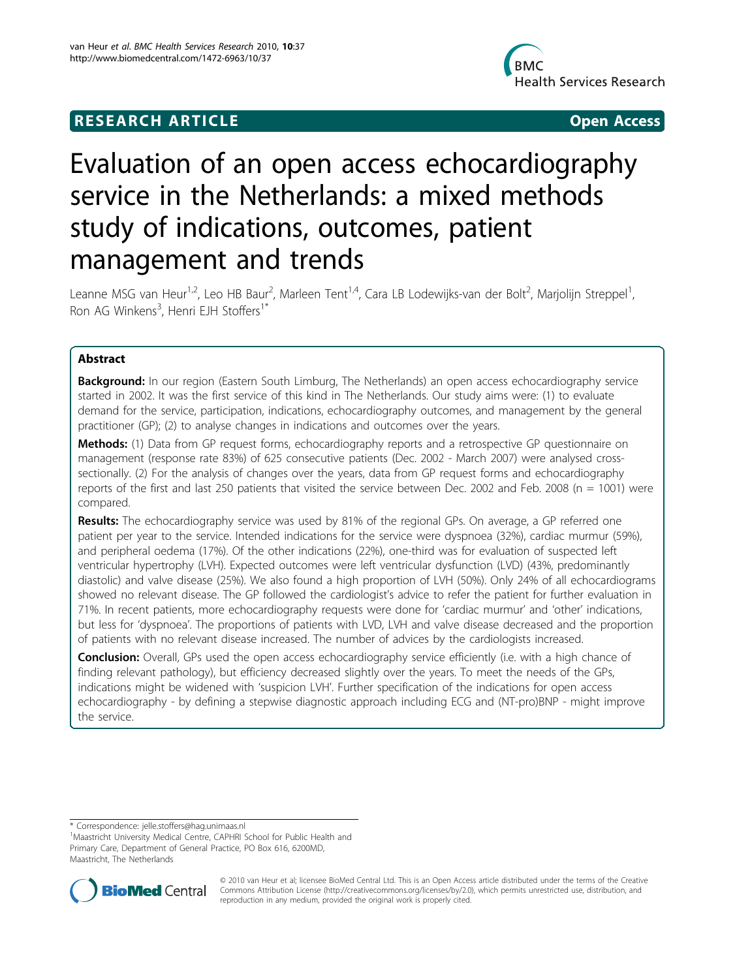# **RESEARCH ARTICLE Example 2018 CONSIDERING ACCESS**



# Evaluation of an open access echocardiography service in the Netherlands: a mixed methods study of indications, outcomes, patient management and trends

Leanne MSG van Heur<sup>1,2</sup>, Leo HB Baur<sup>2</sup>, Marleen Tent<sup>1,4</sup>, Cara LB Lodewijks-van der Bolt<sup>2</sup>, Marjolijn Streppel<sup>1</sup> , Ron AG Winkens<sup>3</sup>, Henri EJH Stoffers<sup>1\*</sup>

# Abstract

**Background:** In our region (Eastern South Limburg, The Netherlands) an open access echocardiography service started in 2002. It was the first service of this kind in The Netherlands. Our study aims were: (1) to evaluate demand for the service, participation, indications, echocardiography outcomes, and management by the general practitioner (GP); (2) to analyse changes in indications and outcomes over the years.

**Methods:** (1) Data from GP request forms, echocardiography reports and a retrospective GP questionnaire on management (response rate 83%) of 625 consecutive patients (Dec. 2002 - March 2007) were analysed crosssectionally. (2) For the analysis of changes over the years, data from GP request forms and echocardiography reports of the first and last 250 patients that visited the service between Dec. 2002 and Feb. 2008 (n = 1001) were compared.

Results: The echocardiography service was used by 81% of the regional GPs. On average, a GP referred one patient per year to the service. Intended indications for the service were dyspnoea (32%), cardiac murmur (59%), and peripheral oedema (17%). Of the other indications (22%), one-third was for evaluation of suspected left ventricular hypertrophy (LVH). Expected outcomes were left ventricular dysfunction (LVD) (43%, predominantly diastolic) and valve disease (25%). We also found a high proportion of LVH (50%). Only 24% of all echocardiograms showed no relevant disease. The GP followed the cardiologist's advice to refer the patient for further evaluation in 71%. In recent patients, more echocardiography requests were done for 'cardiac murmur' and 'other' indications, but less for 'dyspnoea'. The proportions of patients with LVD, LVH and valve disease decreased and the proportion of patients with no relevant disease increased. The number of advices by the cardiologists increased.

**Conclusion:** Overall, GPs used the open access echocardiography service efficiently (i.e. with a high chance of finding relevant pathology), but efficiency decreased slightly over the years. To meet the needs of the GPs, indications might be widened with 'suspicion LVH'. Further specification of the indications for open access echocardiography - by defining a stepwise diagnostic approach including ECG and (NT-pro)BNP - might improve the service.

\* Correspondence: [jelle.stoffers@hag.unimaas.nl](mailto:jelle.stoffers@hag.unimaas.nl)

<sup>&</sup>lt;sup>1</sup>Maastricht University Medical Centre, CAPHRI School for Public Health and Primary Care, Department of General Practice, PO Box 616, 6200MD, Maastricht, The Netherlands



© 2010 van Heur et al; licensee BioMed Central Ltd. This is an Open Access article distributed under the terms of the Creative Commons Attribution License [\(http://creativecommons.org/licenses/by/2.0](http://creativecommons.org/licenses/by/2.0)), which permits unrestricted use, distribution, and reproduction in any medium, provided the original work is properly cited.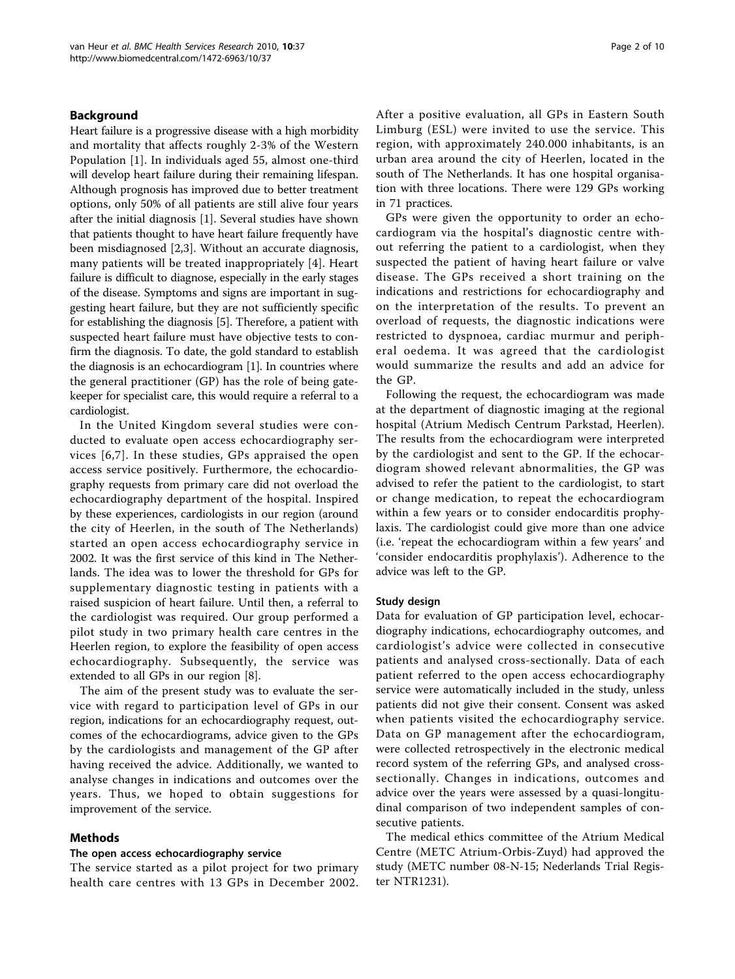## Background

Heart failure is a progressive disease with a high morbidity and mortality that affects roughly 2-3% of the Western Population [[1\]](#page-9-0). In individuals aged 55, almost one-third will develop heart failure during their remaining lifespan. Although prognosis has improved due to better treatment options, only 50% of all patients are still alive four years after the initial diagnosis [\[1\]](#page-9-0). Several studies have shown that patients thought to have heart failure frequently have been misdiagnosed [\[2](#page-9-0),[3\]](#page-9-0). Without an accurate diagnosis, many patients will be treated inappropriately [[4\]](#page-9-0). Heart failure is difficult to diagnose, especially in the early stages of the disease. Symptoms and signs are important in suggesting heart failure, but they are not sufficiently specific for establishing the diagnosis [\[5](#page-9-0)]. Therefore, a patient with suspected heart failure must have objective tests to confirm the diagnosis. To date, the gold standard to establish the diagnosis is an echocardiogram [[1](#page-9-0)]. In countries where the general practitioner (GP) has the role of being gatekeeper for specialist care, this would require a referral to a cardiologist.

In the United Kingdom several studies were conducted to evaluate open access echocardiography services [[6,7](#page-9-0)]. In these studies, GPs appraised the open access service positively. Furthermore, the echocardiography requests from primary care did not overload the echocardiography department of the hospital. Inspired by these experiences, cardiologists in our region (around the city of Heerlen, in the south of The Netherlands) started an open access echocardiography service in 2002. It was the first service of this kind in The Netherlands. The idea was to lower the threshold for GPs for supplementary diagnostic testing in patients with a raised suspicion of heart failure. Until then, a referral to the cardiologist was required. Our group performed a pilot study in two primary health care centres in the Heerlen region, to explore the feasibility of open access echocardiography. Subsequently, the service was extended to all GPs in our region [\[8](#page-9-0)].

The aim of the present study was to evaluate the service with regard to participation level of GPs in our region, indications for an echocardiography request, outcomes of the echocardiograms, advice given to the GPs by the cardiologists and management of the GP after having received the advice. Additionally, we wanted to analyse changes in indications and outcomes over the years. Thus, we hoped to obtain suggestions for improvement of the service.

## Methods

#### The open access echocardiography service

The service started as a pilot project for two primary health care centres with 13 GPs in December 2002. After a positive evaluation, all GPs in Eastern South Limburg (ESL) were invited to use the service. This region, with approximately 240.000 inhabitants, is an urban area around the city of Heerlen, located in the south of The Netherlands. It has one hospital organisation with three locations. There were 129 GPs working in 71 practices.

GPs were given the opportunity to order an echocardiogram via the hospital's diagnostic centre without referring the patient to a cardiologist, when they suspected the patient of having heart failure or valve disease. The GPs received a short training on the indications and restrictions for echocardiography and on the interpretation of the results. To prevent an overload of requests, the diagnostic indications were restricted to dyspnoea, cardiac murmur and peripheral oedema. It was agreed that the cardiologist would summarize the results and add an advice for the GP.

Following the request, the echocardiogram was made at the department of diagnostic imaging at the regional hospital (Atrium Medisch Centrum Parkstad, Heerlen). The results from the echocardiogram were interpreted by the cardiologist and sent to the GP. If the echocardiogram showed relevant abnormalities, the GP was advised to refer the patient to the cardiologist, to start or change medication, to repeat the echocardiogram within a few years or to consider endocarditis prophylaxis. The cardiologist could give more than one advice (i.e. 'repeat the echocardiogram within a few years' and 'consider endocarditis prophylaxis'). Adherence to the advice was left to the GP.

#### Study design

Data for evaluation of GP participation level, echocardiography indications, echocardiography outcomes, and cardiologist's advice were collected in consecutive patients and analysed cross-sectionally. Data of each patient referred to the open access echocardiography service were automatically included in the study, unless patients did not give their consent. Consent was asked when patients visited the echocardiography service. Data on GP management after the echocardiogram, were collected retrospectively in the electronic medical record system of the referring GPs, and analysed crosssectionally. Changes in indications, outcomes and advice over the years were assessed by a quasi-longitudinal comparison of two independent samples of consecutive patients.

The medical ethics committee of the Atrium Medical Centre (METC Atrium-Orbis-Zuyd) had approved the study (METC number 08-N-15; Nederlands Trial Register NTR1231).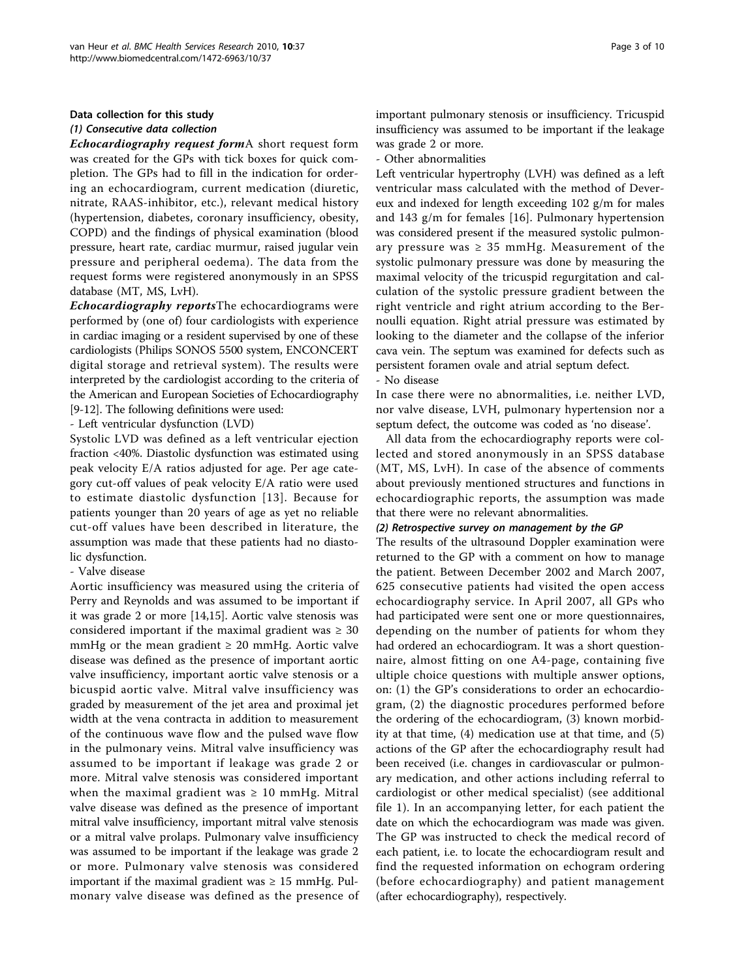# Data collection for this study (1) Consecutive data collection

Echocardiography request formA short request form was created for the GPs with tick boxes for quick completion. The GPs had to fill in the indication for ordering an echocardiogram, current medication (diuretic, nitrate, RAAS-inhibitor, etc.), relevant medical history (hypertension, diabetes, coronary insufficiency, obesity, COPD) and the findings of physical examination (blood pressure, heart rate, cardiac murmur, raised jugular vein pressure and peripheral oedema). The data from the request forms were registered anonymously in an SPSS database (MT, MS, LvH).

Echocardiography reportsThe echocardiograms were performed by (one of) four cardiologists with experience in cardiac imaging or a resident supervised by one of these cardiologists (Philips SONOS 5500 system, ENCONCERT digital storage and retrieval system). The results were interpreted by the cardiologist according to the criteria of the American and European Societies of Echocardiography [[9-12\]](#page-9-0). The following definitions were used:

- Left ventricular dysfunction (LVD)

Systolic LVD was defined as a left ventricular ejection fraction <40%. Diastolic dysfunction was estimated using peak velocity E/A ratios adjusted for age. Per age category cut-off values of peak velocity E/A ratio were used to estimate diastolic dysfunction [[13\]](#page-9-0). Because for patients younger than 20 years of age as yet no reliable cut-off values have been described in literature, the assumption was made that these patients had no diastolic dysfunction.

# - Valve disease

Aortic insufficiency was measured using the criteria of Perry and Reynolds and was assumed to be important if it was grade 2 or more [\[14,15](#page-9-0)]. Aortic valve stenosis was considered important if the maximal gradient was  $\geq 30$ mmHg or the mean gradient  $\geq 20$  mmHg. Aortic valve disease was defined as the presence of important aortic valve insufficiency, important aortic valve stenosis or a bicuspid aortic valve. Mitral valve insufficiency was graded by measurement of the jet area and proximal jet width at the vena contracta in addition to measurement of the continuous wave flow and the pulsed wave flow in the pulmonary veins. Mitral valve insufficiency was assumed to be important if leakage was grade 2 or more. Mitral valve stenosis was considered important when the maximal gradient was  $\geq 10$  mmHg. Mitral valve disease was defined as the presence of important mitral valve insufficiency, important mitral valve stenosis or a mitral valve prolaps. Pulmonary valve insufficiency was assumed to be important if the leakage was grade 2 or more. Pulmonary valve stenosis was considered important if the maximal gradient was  $\geq 15$  mmHg. Pulmonary valve disease was defined as the presence of important pulmonary stenosis or insufficiency. Tricuspid insufficiency was assumed to be important if the leakage was grade 2 or more.

- Other abnormalities

Left ventricular hypertrophy (LVH) was defined as a left ventricular mass calculated with the method of Devereux and indexed for length exceeding 102 g/m for males and 143 g/m for females [[16](#page-9-0)]. Pulmonary hypertension was considered present if the measured systolic pulmonary pressure was  $\geq$  35 mmHg. Measurement of the systolic pulmonary pressure was done by measuring the maximal velocity of the tricuspid regurgitation and calculation of the systolic pressure gradient between the right ventricle and right atrium according to the Bernoulli equation. Right atrial pressure was estimated by looking to the diameter and the collapse of the inferior cava vein. The septum was examined for defects such as persistent foramen ovale and atrial septum defect.

- No disease

In case there were no abnormalities, i.e. neither LVD, nor valve disease, LVH, pulmonary hypertension nor a septum defect, the outcome was coded as 'no disease'.

All data from the echocardiography reports were collected and stored anonymously in an SPSS database (MT, MS, LvH). In case of the absence of comments about previously mentioned structures and functions in echocardiographic reports, the assumption was made that there were no relevant abnormalities.

#### (2) Retrospective survey on management by the GP

The results of the ultrasound Doppler examination were returned to the GP with a comment on how to manage the patient. Between December 2002 and March 2007, 625 consecutive patients had visited the open access echocardiography service. In April 2007, all GPs who had participated were sent one or more questionnaires, depending on the number of patients for whom they had ordered an echocardiogram. It was a short questionnaire, almost fitting on one A4-page, containing five ultiple choice questions with multiple answer options, on: (1) the GP's considerations to order an echocardiogram, (2) the diagnostic procedures performed before the ordering of the echocardiogram, (3) known morbidity at that time, (4) medication use at that time, and (5) actions of the GP after the echocardiography result had been received (i.e. changes in cardiovascular or pulmonary medication, and other actions including referral to cardiologist or other medical specialist) (see additional file [1](#page-8-0)). In an accompanying letter, for each patient the date on which the echocardiogram was made was given. The GP was instructed to check the medical record of each patient, i.e. to locate the echocardiogram result and find the requested information on echogram ordering (before echocardiography) and patient management (after echocardiography), respectively.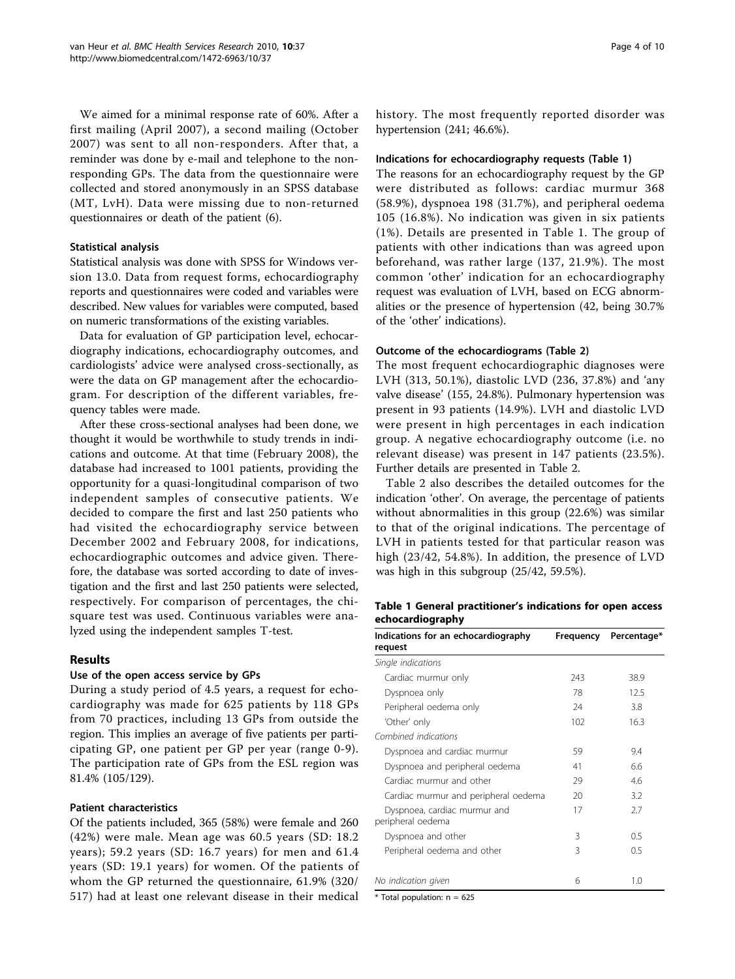We aimed for a minimal response rate of 60%. After a first mailing (April 2007), a second mailing (October 2007) was sent to all non-responders. After that, a reminder was done by e-mail and telephone to the nonresponding GPs. The data from the questionnaire were collected and stored anonymously in an SPSS database (MT, LvH). Data were missing due to non-returned questionnaires or death of the patient (6).

## Statistical analysis

Statistical analysis was done with SPSS for Windows version 13.0. Data from request forms, echocardiography reports and questionnaires were coded and variables were described. New values for variables were computed, based on numeric transformations of the existing variables.

Data for evaluation of GP participation level, echocardiography indications, echocardiography outcomes, and cardiologists' advice were analysed cross-sectionally, as were the data on GP management after the echocardiogram. For description of the different variables, frequency tables were made.

After these cross-sectional analyses had been done, we thought it would be worthwhile to study trends in indications and outcome. At that time (February 2008), the database had increased to 1001 patients, providing the opportunity for a quasi-longitudinal comparison of two independent samples of consecutive patients. We decided to compare the first and last 250 patients who had visited the echocardiography service between December 2002 and February 2008, for indications, echocardiographic outcomes and advice given. Therefore, the database was sorted according to date of investigation and the first and last 250 patients were selected, respectively. For comparison of percentages, the chisquare test was used. Continuous variables were analyzed using the independent samples T-test.

## Results

#### Use of the open access service by GPs

During a study period of 4.5 years, a request for echocardiography was made for 625 patients by 118 GPs from 70 practices, including 13 GPs from outside the region. This implies an average of five patients per participating GP, one patient per GP per year (range 0-9). The participation rate of GPs from the ESL region was 81.4% (105/129).

#### Patient characteristics

Of the patients included, 365 (58%) were female and 260 (42%) were male. Mean age was 60.5 years (SD: 18.2 years); 59.2 years (SD: 16.7 years) for men and 61.4 years (SD: 19.1 years) for women. Of the patients of whom the GP returned the questionnaire, 61.9% (320/ 517) had at least one relevant disease in their medical history. The most frequently reported disorder was hypertension (241; 46.6%).

#### Indications for echocardiography requests (Table 1)

The reasons for an echocardiography request by the GP were distributed as follows: cardiac murmur 368 (58.9%), dyspnoea 198 (31.7%), and peripheral oedema 105 (16.8%). No indication was given in six patients (1%). Details are presented in Table 1. The group of patients with other indications than was agreed upon beforehand, was rather large (137, 21.9%). The most common 'other' indication for an echocardiography request was evaluation of LVH, based on ECG abnormalities or the presence of hypertension (42, being 30.7% of the 'other' indications).

#### Outcome of the echocardiograms (Table [2\)](#page-4-0)

The most frequent echocardiographic diagnoses were LVH (313, 50.1%), diastolic LVD (236, 37.8%) and 'any valve disease' (155, 24.8%). Pulmonary hypertension was present in 93 patients (14.9%). LVH and diastolic LVD were present in high percentages in each indication group. A negative echocardiography outcome (i.e. no relevant disease) was present in 147 patients (23.5%). Further details are presented in Table [2](#page-4-0).

Table [2](#page-4-0) also describes the detailed outcomes for the indication 'other'. On average, the percentage of patients without abnormalities in this group (22.6%) was similar to that of the original indications. The percentage of LVH in patients tested for that particular reason was high (23/42, 54.8%). In addition, the presence of LVD was high in this subgroup (25/42, 59.5%).

Table 1 General practitioner's indications for open access echocardiography

| Indications for an echocardiography<br>request    | Frequency | Percentage* |
|---------------------------------------------------|-----------|-------------|
| Single indications                                |           |             |
| Cardiac murmur only                               | 243       | 389         |
| Dyspnoea only                                     | 78        | 12.5        |
| Peripheral oedema only                            | 24        | 3.8         |
| 'Other' only                                      | 102       | 16.3        |
| Combined indications                              |           |             |
| Dyspnoea and cardiac murmur                       | 59        | 9.4         |
| Dyspnoea and peripheral oedema                    | 41        | 66          |
| Cardiac murmur and other                          | 29        | 46          |
| Cardiac murmur and peripheral oedema              | 20        | 32          |
| Dyspnoea, cardiac murmur and<br>peripheral oedema | 17        | 27          |
| Dyspnoea and other                                | 3         | 0.5         |
| Peripheral oedema and other                       | 3         | 0.5         |
| No indication given                               | 6         | 1.0         |

 $*$  Total population:  $n = 625$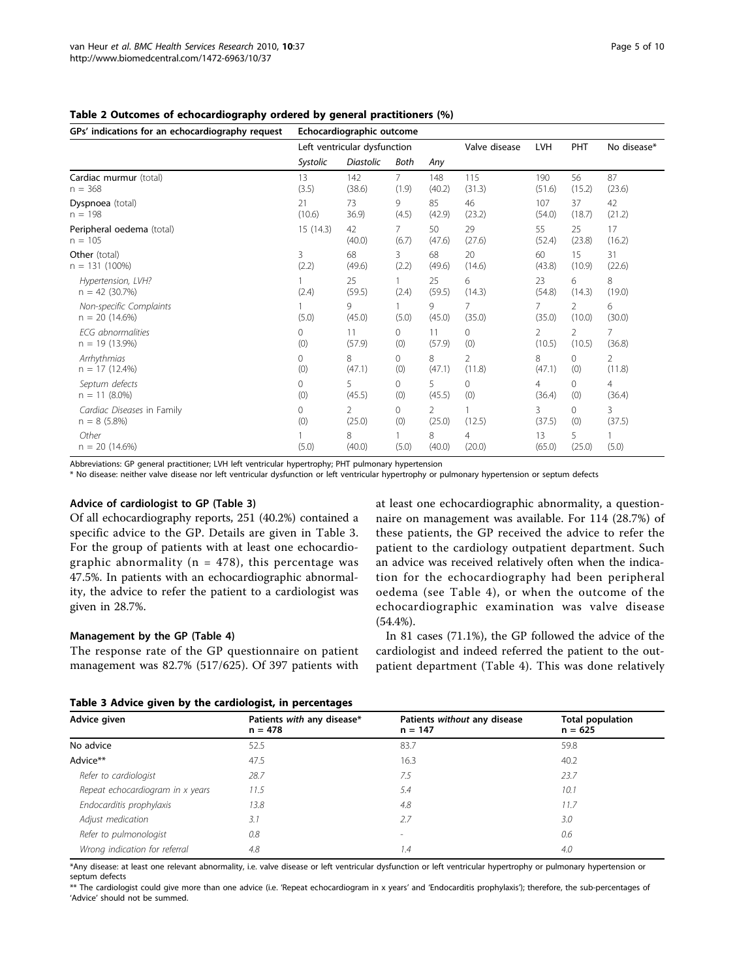<span id="page-4-0"></span>

| Table 2 Outcomes of echocardiography ordered by general practitioners (%) |  |  |  |  |
|---------------------------------------------------------------------------|--|--|--|--|
|---------------------------------------------------------------------------|--|--|--|--|

| GPs' indications for an echocardiography request | Echocardiographic outcome    |                  |                |               |                |                          |                          |                |
|--------------------------------------------------|------------------------------|------------------|----------------|---------------|----------------|--------------------------|--------------------------|----------------|
|                                                  | Left ventricular dysfunction |                  |                | Valve disease | <b>LVH</b>     | PHT                      | No disease*              |                |
|                                                  | Systolic                     | <b>Diastolic</b> | Both           | Any           |                |                          |                          |                |
| Cardiac murmur (total)                           | 13                           | 142              | $\overline{7}$ | 148           | 115            | 190                      | 56                       | 87             |
| $n = 368$                                        | (3.5)                        | (38.6)           | (1.9)          | (40.2)        | (31.3)         | (51.6)                   | (15.2)                   | (23.6)         |
| Dyspnoea (total)                                 | 21                           | 73               | 9              | 85            | 46             | 107                      | 37                       | 42             |
| $n = 198$                                        | (10.6)                       | 36.9)            | (4.5)          | (42.9)        | (23.2)         | (54.0)                   | (18.7)                   | (21.2)         |
| Peripheral oedema (total)                        | 15(14.3)                     | 42               | 7              | 50            | 29             | 55                       | 25                       | 17             |
| $n = 105$                                        |                              | (40.0)           | (6.7)          | (47.6)        | (27.6)         | (52.4)                   | (23.8)                   | (16.2)         |
| Other (total)                                    | 3                            | 68               | 3              | 68            | 20             | 60                       | 15                       | 31             |
| $n = 131(100\%)$                                 | (2.2)                        | (49.6)           | (2.2)          | (49.6)        | (14.6)         | (43.8)                   | (10.9)                   | (22.6)         |
| Hypertension, LVH?<br>$n = 42$ (30.7%)           | (2.4)                        | 25<br>(59.5)     | (2.4)          | 25<br>(59.5)  | 6<br>(14.3)    | 23<br>(54.8)             | 6<br>(14.3)              | 8<br>(19.0)    |
| Non-specific Complaints<br>$n = 20$ (14.6%)      | (5.0)                        | 9<br>(45.0)      | (5.0)          | 9<br>(45.0)   | 7<br>(35.0)    | $\overline{7}$<br>(35.0) | $\overline{2}$<br>(10.0) | 6<br>(30.0)    |
| FCG abnormalities                                | 0                            | 11               | 0              | 11            | $\mathbf{0}$   | $\overline{2}$           | $\overline{2}$           | 7              |
| $n = 19(13.9\%)$                                 | (0)                          | (57.9)           | (0)            | (57.9)        | (0)            | (10.5)                   | (10.5)                   | (36.8)         |
| Arrhythmias                                      | 0                            | 8                | 0              | 8             | $\overline{2}$ | 8                        | $\circ$                  | $\overline{2}$ |
| $n = 17(12.4\%)$                                 | (0)                          | (47.1)           | (0)            | (47.1)        | (11.8)         | (47.1)                   | (0)                      | (11.8)         |
| Septum defects                                   | 0                            | 5                | 0              | 5             | $\mathbf{0}$   | $\overline{4}$           | $\circ$                  | $\overline{4}$ |
| $n = 11 (8.0\%)$                                 | (0)                          | (45.5)           | (0)            | (45.5)        | (0)            | (36.4)                   | (0)                      | (36.4)         |
| Cardiac Diseases in Family                       | 0                            | $\mathfrak{D}$   | $\circ$        | 2             | (12.5)         | 3                        | $\circ$                  | 3              |
| $n = 8(5.8\%)$                                   | (0)                          | (25.0)           | (0)            | (25.0)        |                | (37.5)                   | (0)                      | (37.5)         |
| Other<br>$n = 20$ (14.6%)                        | (5.0)                        | 8<br>(40.0)      | (5.0)          | 8<br>(40.0)   | 4<br>(20.0)    | 13<br>(65.0)             | 5<br>(25.0)              | (5.0)          |

Abbreviations: GP general practitioner; LVH left ventricular hypertrophy; PHT pulmonary hypertension

\* No disease: neither valve disease nor left ventricular dysfunction or left ventricular hypertrophy or pulmonary hypertension or septum defects

#### Advice of cardiologist to GP (Table 3)

Of all echocardiography reports, 251 (40.2%) contained a specific advice to the GP. Details are given in Table 3. For the group of patients with at least one echocardiographic abnormality ( $n = 478$ ), this percentage was 47.5%. In patients with an echocardiographic abnormality, the advice to refer the patient to a cardiologist was given in 28.7%.

#### Management by the GP (Table [4\)](#page-5-0)

The response rate of the GP questionnaire on patient management was 82.7% (517/625). Of 397 patients with at least one echocardiographic abnormality, a questionnaire on management was available. For 114 (28.7%) of these patients, the GP received the advice to refer the patient to the cardiology outpatient department. Such an advice was received relatively often when the indication for the echocardiography had been peripheral oedema (see Table [4](#page-5-0)), or when the outcome of the echocardiographic examination was valve disease (54.4%).

In 81 cases (71.1%), the GP followed the advice of the cardiologist and indeed referred the patient to the outpatient department (Table [4\)](#page-5-0). This was done relatively

|  |  |  |  |  |  | Table 3 Advice given by the cardiologist, in percentages |  |  |
|--|--|--|--|--|--|----------------------------------------------------------|--|--|
|--|--|--|--|--|--|----------------------------------------------------------|--|--|

| Advice given                     | Patients with any disease*<br>$n = 478$ | Patients without any disease<br>$n = 147$ | <b>Total population</b><br>$n = 625$ |
|----------------------------------|-----------------------------------------|-------------------------------------------|--------------------------------------|
| No advice                        | 52.5                                    | 83.7                                      | 59.8                                 |
| Advice**                         | 47.5                                    | 16.3                                      | 40.2                                 |
| Refer to cardiologist            | 28.7                                    | 7.5                                       | 23.7                                 |
| Repeat echocardiogram in x years | 11.5                                    | 5.4                                       | 10.1                                 |
| Endocarditis prophylaxis         | 13.8                                    | 4.8                                       | 11.7                                 |
| Adjust medication                | 3.1                                     | 2.7                                       | 3.0                                  |
| Refer to pulmonologist           | 0.8                                     | $\overline{\phantom{a}}$                  | 0.6                                  |
| Wrong indication for referral    | 4.8                                     | 1.4                                       | 4.0                                  |
|                                  |                                         |                                           |                                      |

\*Any disease: at least one relevant abnormality, i.e. valve disease or left ventricular dysfunction or left ventricular hypertrophy or pulmonary hypertension or septum defects

\*\* The cardiologist could give more than one advice (i.e. 'Repeat echocardiogram in x years' and 'Endocarditis prophylaxis'); therefore, the sub-percentages of 'Advice' should not be summed.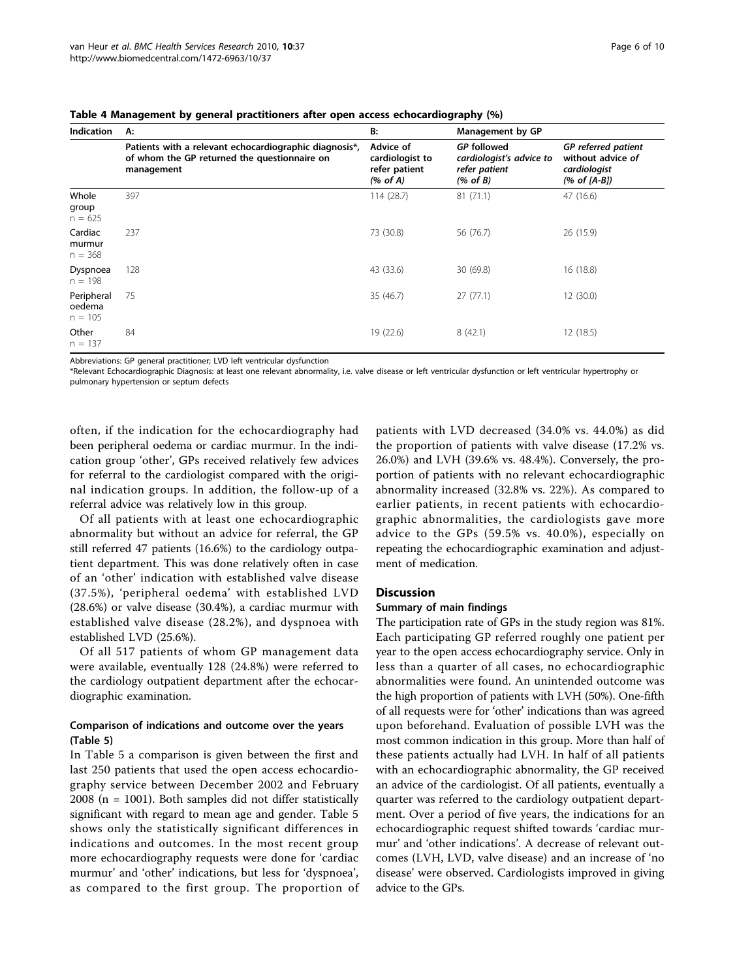| <b>Indication</b>                 | А:                                                                                                                   | B:                                                        | Management by GP                                                            |                                                                            |  |
|-----------------------------------|----------------------------------------------------------------------------------------------------------------------|-----------------------------------------------------------|-----------------------------------------------------------------------------|----------------------------------------------------------------------------|--|
|                                   | Patients with a relevant echocardiographic diagnosis*,<br>of whom the GP returned the questionnaire on<br>management | Advice of<br>cardiologist to<br>refer patient<br>(% of A) | <b>GP</b> followed<br>cardiologist's advice to<br>refer patient<br>(% of B) | GP referred patient<br>without advice of<br>cardiologist<br>$(% of [A-B])$ |  |
| Whole<br>group<br>$n = 625$       | 397                                                                                                                  | 114 (28.7)                                                | 81(71.1)                                                                    | 47 (16.6)                                                                  |  |
| Cardiac<br>murmur<br>$n = 368$    | 237                                                                                                                  | 73 (30.8)                                                 | 56 (76.7)                                                                   | 26 (15.9)                                                                  |  |
| Dyspnoea<br>$n = 198$             | 128                                                                                                                  | 43 (33.6)                                                 | 30 (69.8)                                                                   | 16 (18.8)                                                                  |  |
| Peripheral<br>oedema<br>$n = 105$ | 75                                                                                                                   | 35 (46.7)                                                 | 27(77.1)                                                                    | 12(30.0)                                                                   |  |
| Other<br>$n = 137$                | 84                                                                                                                   | 19 (22.6)                                                 | 8(42.1)                                                                     | 12 (18.5)                                                                  |  |

<span id="page-5-0"></span>Table 4 Management by general practitioners after open access echocardiography (%)

Abbreviations: GP general practitioner; LVD left ventricular dysfunction

\*Relevant Echocardiographic Diagnosis: at least one relevant abnormality, i.e. valve disease or left ventricular dysfunction or left ventricular hypertrophy or pulmonary hypertension or septum defects

often, if the indication for the echocardiography had been peripheral oedema or cardiac murmur. In the indication group 'other', GPs received relatively few advices for referral to the cardiologist compared with the original indication groups. In addition, the follow-up of a referral advice was relatively low in this group.

Of all patients with at least one echocardiographic abnormality but without an advice for referral, the GP still referred 47 patients (16.6%) to the cardiology outpatient department. This was done relatively often in case of an 'other' indication with established valve disease (37.5%), 'peripheral oedema' with established LVD (28.6%) or valve disease (30.4%), a cardiac murmur with established valve disease (28.2%), and dyspnoea with established LVD (25.6%).

Of all 517 patients of whom GP management data were available, eventually 128 (24.8%) were referred to the cardiology outpatient department after the echocardiographic examination.

# Comparison of indications and outcome over the years (Table [5\)](#page-6-0)

In Table [5](#page-6-0) a comparison is given between the first and last 250 patients that used the open access echocardiography service between December 2002 and February 2008 (n = 1001). Both samples did not differ statistically significant with regard to mean age and gender. Table [5](#page-6-0) shows only the statistically significant differences in indications and outcomes. In the most recent group more echocardiography requests were done for 'cardiac murmur' and 'other' indications, but less for 'dyspnoea', as compared to the first group. The proportion of

patients with LVD decreased (34.0% vs. 44.0%) as did the proportion of patients with valve disease (17.2% vs. 26.0%) and LVH (39.6% vs. 48.4%). Conversely, the proportion of patients with no relevant echocardiographic abnormality increased (32.8% vs. 22%). As compared to earlier patients, in recent patients with echocardiographic abnormalities, the cardiologists gave more advice to the GPs (59.5% vs. 40.0%), especially on repeating the echocardiographic examination and adjustment of medication.

#### Discussion

#### Summary of main findings

The participation rate of GPs in the study region was 81%. Each participating GP referred roughly one patient per year to the open access echocardiography service. Only in less than a quarter of all cases, no echocardiographic abnormalities were found. An unintended outcome was the high proportion of patients with LVH (50%). One-fifth of all requests were for 'other' indications than was agreed upon beforehand. Evaluation of possible LVH was the most common indication in this group. More than half of these patients actually had LVH. In half of all patients with an echocardiographic abnormality, the GP received an advice of the cardiologist. Of all patients, eventually a quarter was referred to the cardiology outpatient department. Over a period of five years, the indications for an echocardiographic request shifted towards 'cardiac murmur' and 'other indications'. A decrease of relevant outcomes (LVH, LVD, valve disease) and an increase of 'no disease' were observed. Cardiologists improved in giving advice to the GPs.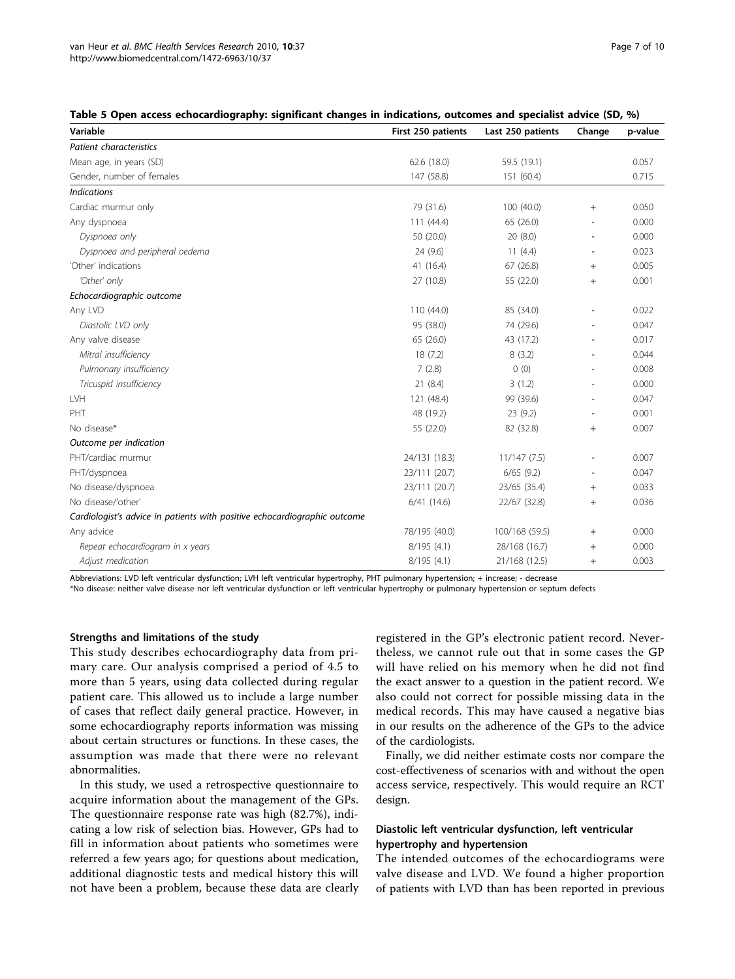| Variable                                                                  | First 250 patients | Last 250 patients | Change                       | p-value |
|---------------------------------------------------------------------------|--------------------|-------------------|------------------------------|---------|
| <b>Patient characteristics</b>                                            |                    |                   |                              |         |
| Mean age, in years (SD)                                                   | 62.6 (18.0)        | 59.5 (19.1)       |                              | 0.057   |
| Gender, number of females                                                 | 147 (58.8)         | 151 (60.4)        |                              | 0.715   |
| <b>Indications</b>                                                        |                    |                   |                              |         |
| Cardiac murmur only                                                       | 79 (31.6)          | 100(40.0)         | $^{+}$                       | 0.050   |
| Any dyspnoea                                                              | 111(44.4)          | 65(26.0)          |                              | 0.000   |
| Dyspnoea only                                                             | 50 (20.0)          | 20(8.0)           |                              | 0.000   |
| Dyspnoea and peripheral oedema                                            | 24 (9.6)           | 11(4.4)           |                              | 0.023   |
| 'Other' indications                                                       | 41 (16.4)          | 67(26.8)          | $^{+}$                       | 0.005   |
| 'Other' only                                                              | 27 (10.8)          | 55 (22.0)         | $^{+}$                       | 0.001   |
| Echocardiographic outcome                                                 |                    |                   |                              |         |
| Any LVD                                                                   | 110 (44.0)         | 85 (34.0)         |                              | 0.022   |
| Diastolic LVD only                                                        | 95 (38.0)          | 74 (29.6)         |                              | 0.047   |
| Any valve disease                                                         | 65 (26.0)          | 43 (17.2)         |                              | 0.017   |
| Mitral insufficiency                                                      | 18(7.2)            | 8(3.2)            |                              | 0.044   |
| Pulmonary insufficiency                                                   | 7(2.8)             | 0(0)              |                              | 0.008   |
| Tricuspid insufficiency                                                   | 21(8.4)            | 3(1.2)            |                              | 0.000   |
| LVH                                                                       | 121 (48.4)         | 99 (39.6)         |                              | 0.047   |
| PHT                                                                       | 48 (19.2)          | 23(9.2)           | $\qquad \qquad \blacksquare$ | 0.001   |
| No disease*                                                               | 55 (22.0)          | 82 (32.8)         | $^{+}$                       | 0.007   |
| Outcome per indication                                                    |                    |                   |                              |         |
| PHT/cardiac murmur                                                        | 24/131 (18.3)      | 11/147(7.5)       |                              | 0.007   |
| PHT/dyspnoea                                                              | 23/111 (20.7)      | 6/65(9.2)         |                              | 0.047   |
| No disease/dyspnoea                                                       | 23/111 (20.7)      | 23/65 (35.4)      | $+$                          | 0.033   |
| No disease/'other'                                                        | 6/41(14.6)         | 22/67 (32.8)      | $^{+}$                       | 0.036   |
| Cardiologist's advice in patients with positive echocardiographic outcome |                    |                   |                              |         |
| Any advice                                                                | 78/195 (40.0)      | 100/168 (59.5)    | $^{+}$                       | 0.000   |
| Repeat echocardiogram in x years                                          | 8/195 (4.1)        | 28/168 (16.7)     | $^{+}$                       | 0.000   |
| Adjust medication                                                         | 8/195 (4.1)        | 21/168 (12.5)     | $^{+}$                       | 0.003   |

<span id="page-6-0"></span>

|  |  | Table 5 Open access echocardiography: significant changes in indications, outcomes and specialist advice (SD, %) |
|--|--|------------------------------------------------------------------------------------------------------------------|
|--|--|------------------------------------------------------------------------------------------------------------------|

Abbreviations: LVD left ventricular dysfunction; LVH left ventricular hypertrophy, PHT pulmonary hypertension; + increase; - decrease

\*No disease: neither valve disease nor left ventricular dysfunction or left ventricular hypertrophy or pulmonary hypertension or septum defects

#### Strengths and limitations of the study

This study describes echocardiography data from primary care. Our analysis comprised a period of 4.5 to more than 5 years, using data collected during regular patient care. This allowed us to include a large number of cases that reflect daily general practice. However, in some echocardiography reports information was missing about certain structures or functions. In these cases, the assumption was made that there were no relevant abnormalities.

In this study, we used a retrospective questionnaire to acquire information about the management of the GPs. The questionnaire response rate was high (82.7%), indicating a low risk of selection bias. However, GPs had to fill in information about patients who sometimes were referred a few years ago; for questions about medication, additional diagnostic tests and medical history this will not have been a problem, because these data are clearly

registered in the GP's electronic patient record. Nevertheless, we cannot rule out that in some cases the GP will have relied on his memory when he did not find the exact answer to a question in the patient record. We also could not correct for possible missing data in the medical records. This may have caused a negative bias in our results on the adherence of the GPs to the advice of the cardiologists.

Finally, we did neither estimate costs nor compare the cost-effectiveness of scenarios with and without the open access service, respectively. This would require an RCT design.

# Diastolic left ventricular dysfunction, left ventricular hypertrophy and hypertension

The intended outcomes of the echocardiograms were valve disease and LVD. We found a higher proportion of patients with LVD than has been reported in previous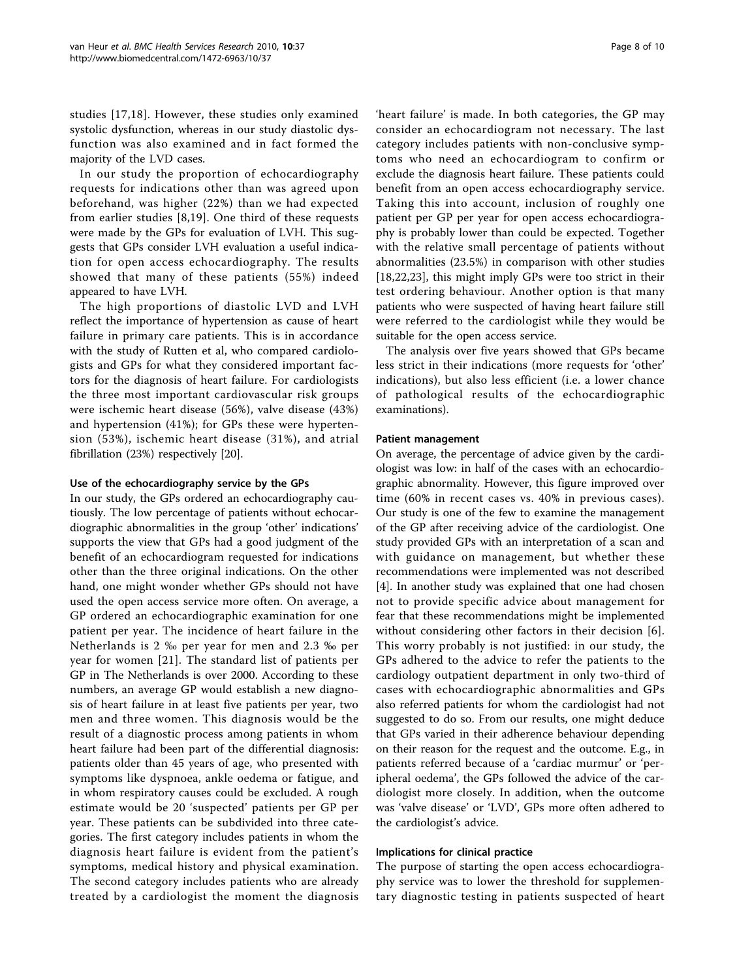studies [\[17,18](#page-9-0)]. However, these studies only examined systolic dysfunction, whereas in our study diastolic dysfunction was also examined and in fact formed the majority of the LVD cases.

In our study the proportion of echocardiography requests for indications other than was agreed upon beforehand, was higher (22%) than we had expected from earlier studies [[8,19](#page-9-0)]. One third of these requests were made by the GPs for evaluation of LVH. This suggests that GPs consider LVH evaluation a useful indication for open access echocardiography. The results showed that many of these patients (55%) indeed appeared to have LVH.

The high proportions of diastolic LVD and LVH reflect the importance of hypertension as cause of heart failure in primary care patients. This is in accordance with the study of Rutten et al, who compared cardiologists and GPs for what they considered important factors for the diagnosis of heart failure. For cardiologists the three most important cardiovascular risk groups were ischemic heart disease (56%), valve disease (43%) and hypertension (41%); for GPs these were hypertension (53%), ischemic heart disease (31%), and atrial fibrillation (23%) respectively [[20\]](#page-9-0).

#### Use of the echocardiography service by the GPs

In our study, the GPs ordered an echocardiography cautiously. The low percentage of patients without echocardiographic abnormalities in the group 'other' indications' supports the view that GPs had a good judgment of the benefit of an echocardiogram requested for indications other than the three original indications. On the other hand, one might wonder whether GPs should not have used the open access service more often. On average, a GP ordered an echocardiographic examination for one patient per year. The incidence of heart failure in the Netherlands is 2 ‰ per year for men and 2.3 ‰ per year for women [\[21\]](#page-9-0). The standard list of patients per GP in The Netherlands is over 2000. According to these numbers, an average GP would establish a new diagnosis of heart failure in at least five patients per year, two men and three women. This diagnosis would be the result of a diagnostic process among patients in whom heart failure had been part of the differential diagnosis: patients older than 45 years of age, who presented with symptoms like dyspnoea, ankle oedema or fatigue, and in whom respiratory causes could be excluded. A rough estimate would be 20 'suspected' patients per GP per year. These patients can be subdivided into three categories. The first category includes patients in whom the diagnosis heart failure is evident from the patient's symptoms, medical history and physical examination. The second category includes patients who are already treated by a cardiologist the moment the diagnosis

'heart failure' is made. In both categories, the GP may consider an echocardiogram not necessary. The last category includes patients with non-conclusive symptoms who need an echocardiogram to confirm or exclude the diagnosis heart failure. These patients could benefit from an open access echocardiography service. Taking this into account, inclusion of roughly one patient per GP per year for open access echocardiography is probably lower than could be expected. Together with the relative small percentage of patients without abnormalities (23.5%) in comparison with other studies [[18,22,23](#page-9-0)], this might imply GPs were too strict in their test ordering behaviour. Another option is that many patients who were suspected of having heart failure still were referred to the cardiologist while they would be suitable for the open access service.

The analysis over five years showed that GPs became less strict in their indications (more requests for 'other' indications), but also less efficient (i.e. a lower chance of pathological results of the echocardiographic examinations).

#### Patient management

On average, the percentage of advice given by the cardiologist was low: in half of the cases with an echocardiographic abnormality. However, this figure improved over time (60% in recent cases vs. 40% in previous cases). Our study is one of the few to examine the management of the GP after receiving advice of the cardiologist. One study provided GPs with an interpretation of a scan and with guidance on management, but whether these recommendations were implemented was not described [[4\]](#page-9-0). In another study was explained that one had chosen not to provide specific advice about management for fear that these recommendations might be implemented without considering other factors in their decision [[6](#page-9-0)]. This worry probably is not justified: in our study, the GPs adhered to the advice to refer the patients to the cardiology outpatient department in only two-third of cases with echocardiographic abnormalities and GPs also referred patients for whom the cardiologist had not suggested to do so. From our results, one might deduce that GPs varied in their adherence behaviour depending on their reason for the request and the outcome. E.g., in patients referred because of a 'cardiac murmur' or 'peripheral oedema', the GPs followed the advice of the cardiologist more closely. In addition, when the outcome was 'valve disease' or 'LVD', GPs more often adhered to the cardiologist's advice.

#### Implications for clinical practice

The purpose of starting the open access echocardiography service was to lower the threshold for supplementary diagnostic testing in patients suspected of heart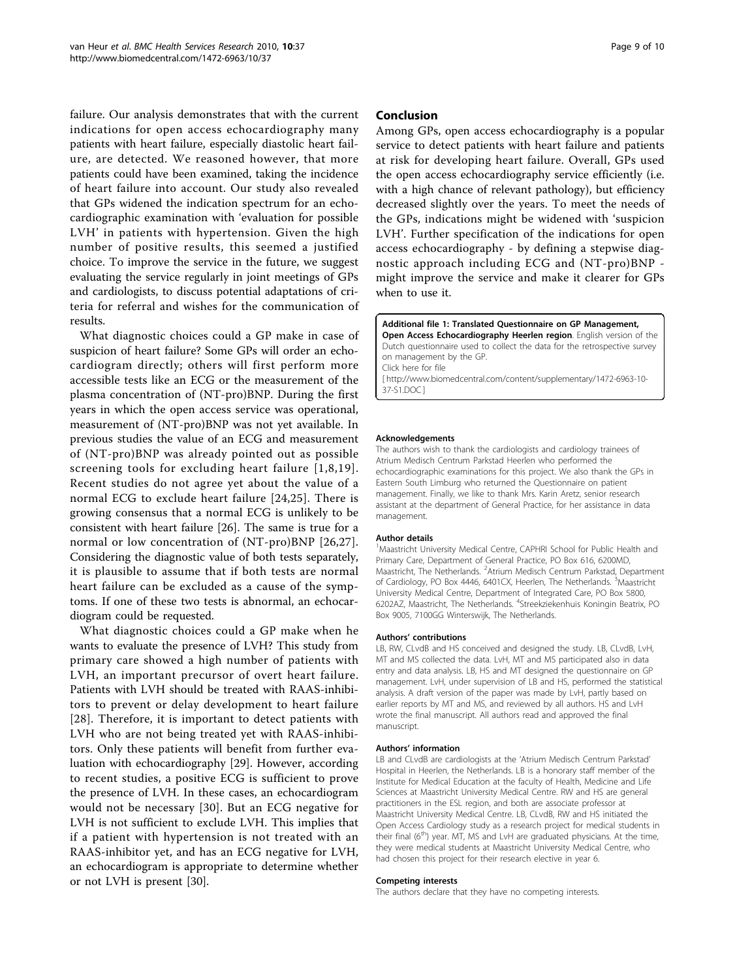<span id="page-8-0"></span>failure. Our analysis demonstrates that with the current indications for open access echocardiography many patients with heart failure, especially diastolic heart failure, are detected. We reasoned however, that more patients could have been examined, taking the incidence of heart failure into account. Our study also revealed that GPs widened the indication spectrum for an echocardiographic examination with 'evaluation for possible LVH' in patients with hypertension. Given the high number of positive results, this seemed a justified choice. To improve the service in the future, we suggest evaluating the service regularly in joint meetings of GPs and cardiologists, to discuss potential adaptations of criteria for referral and wishes for the communication of results.

What diagnostic choices could a GP make in case of suspicion of heart failure? Some GPs will order an echocardiogram directly; others will first perform more accessible tests like an ECG or the measurement of the plasma concentration of (NT-pro)BNP. During the first years in which the open access service was operational, measurement of (NT-pro)BNP was not yet available. In previous studies the value of an ECG and measurement of (NT-pro)BNP was already pointed out as possible screening tools for excluding heart failure [[1](#page-9-0),[8](#page-9-0),[19\]](#page-9-0). Recent studies do not agree yet about the value of a normal ECG to exclude heart failure [[24,25\]](#page-9-0). There is growing consensus that a normal ECG is unlikely to be consistent with heart failure [\[26](#page-9-0)]. The same is true for a normal or low concentration of (NT-pro)BNP [\[26](#page-9-0),[27](#page-9-0)]. Considering the diagnostic value of both tests separately, it is plausible to assume that if both tests are normal heart failure can be excluded as a cause of the symptoms. If one of these two tests is abnormal, an echocardiogram could be requested.

What diagnostic choices could a GP make when he wants to evaluate the presence of LVH? This study from primary care showed a high number of patients with LVH, an important precursor of overt heart failure. Patients with LVH should be treated with RAAS-inhibitors to prevent or delay development to heart failure [[28](#page-9-0)]. Therefore, it is important to detect patients with LVH who are not being treated yet with RAAS-inhibitors. Only these patients will benefit from further evaluation with echocardiography [[29](#page-9-0)]. However, according to recent studies, a positive ECG is sufficient to prove the presence of LVH. In these cases, an echocardiogram would not be necessary [[30\]](#page-9-0). But an ECG negative for LVH is not sufficient to exclude LVH. This implies that if a patient with hypertension is not treated with an RAAS-inhibitor yet, and has an ECG negative for LVH, an echocardiogram is appropriate to determine whether or not LVH is present [\[30](#page-9-0)].

## Conclusion

Among GPs, open access echocardiography is a popular service to detect patients with heart failure and patients at risk for developing heart failure. Overall, GPs used the open access echocardiography service efficiently (i.e. with a high chance of relevant pathology), but efficiency decreased slightly over the years. To meet the needs of the GPs, indications might be widened with 'suspicion LVH'. Further specification of the indications for open access echocardiography - by defining a stepwise diagnostic approach including ECG and (NT-pro)BNP might improve the service and make it clearer for GPs when to use it.

Additional file 1: Translated Questionnaire on GP Management, Open Access Echocardiography Heerlen region. English version of the Dutch questionnaire used to collect the data for the retrospective survey on management by the GP. Click here for file [ http://www.biomedcentral.com/content/supplementary/1472-6963-10-

#### Acknowledgements

37-S1.DOC ]

The authors wish to thank the cardiologists and cardiology trainees of Atrium Medisch Centrum Parkstad Heerlen who performed the echocardiographic examinations for this project. We also thank the GPs in Eastern South Limburg who returned the Questionnaire on patient management. Finally, we like to thank Mrs. Karin Aretz, senior research assistant at the department of General Practice, for her assistance in data management.

#### Author details

<sup>1</sup>Maastricht University Medical Centre, CAPHRI School for Public Health and Primary Care, Department of General Practice, PO Box 616, 6200MD, Maastricht, The Netherlands. <sup>2</sup> Atrium Medisch Centrum Parkstad, Department of Cardiology, PO Box 4446, 6401CX, Heerlen, The Netherlands. <sup>3</sup>Maastricht University Medical Centre, Department of Integrated Care, PO Box 5800, 6202AZ, Maastricht, The Netherlands. <sup>4</sup>Streekziekenhuis Koningin Beatrix, PC Box 9005, 7100GG Winterswijk, The Netherlands.

#### Authors' contributions

LB, RW, CLvdB and HS conceived and designed the study. LB, CLvdB, LvH, MT and MS collected the data. LvH, MT and MS participated also in data entry and data analysis. LB, HS and MT designed the questionnaire on GP management. LvH, under supervision of LB and HS, performed the statistical analysis. A draft version of the paper was made by LvH, partly based on earlier reports by MT and MS, and reviewed by all authors. HS and LvH wrote the final manuscript. All authors read and approved the final manuscript.

#### Authors' information

LB and CLvdB are cardiologists at the 'Atrium Medisch Centrum Parkstad' Hospital in Heerlen, the Netherlands. LB is a honorary staff member of the Institute for Medical Education at the faculty of Health, Medicine and Life Sciences at Maastricht University Medical Centre. RW and HS are general practitioners in the ESL region, and both are associate professor at Maastricht University Medical Centre. LB, CLvdB, RW and HS initiated the Open Access Cardiology study as a research project for medical students in their final  $(6<sup>th</sup>)$  year. MT, MS and LvH are graduated physicians. At the time, they were medical students at Maastricht University Medical Centre, who had chosen this project for their research elective in year 6.

#### Competing interests

The authors declare that they have no competing interests.